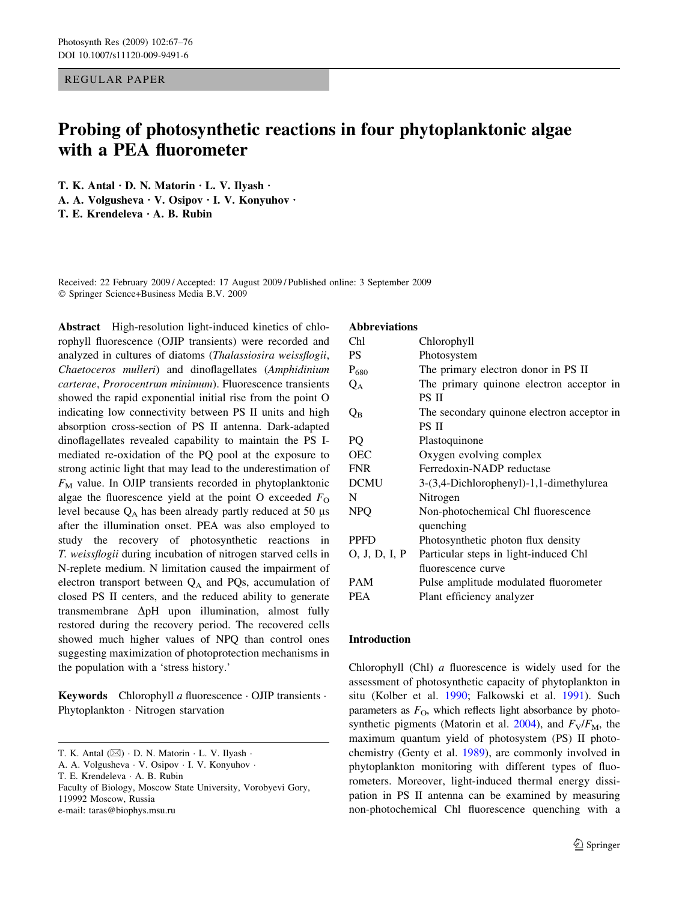REGULAR PAPER

# Probing of photosynthetic reactions in four phytoplanktonic algae with a PEA fluorometer

T. K. Antal  $\cdot$  D. N. Matorin  $\cdot$  L. V. Ilyash  $\cdot$ A. A. Volgusheva  $\cdot$  V. Osipov  $\cdot$  I. V. Konyuhov  $\cdot$ T. E. Krendeleva  $\cdot$  A. B. Rubin

Received: 22 February 2009 / Accepted: 17 August 2009 / Published online: 3 September 2009 Springer Science+Business Media B.V. 2009

Abstract High-resolution light-induced kinetics of chlorophyll fluorescence (OJIP transients) were recorded and analyzed in cultures of diatoms (Thalassiosira weissflogii, Chaetoceros mulleri) and dinoflagellates (Amphidinium carterae, Prorocentrum minimum). Fluorescence transients showed the rapid exponential initial rise from the point O indicating low connectivity between PS II units and high absorption cross-section of PS II antenna. Dark-adapted dinoflagellates revealed capability to maintain the PS Imediated re-oxidation of the PQ pool at the exposure to strong actinic light that may lead to the underestimation of  $F_M$  value. In OJIP transients recorded in phytoplanktonic algae the fluorescence yield at the point O exceeded  $F<sub>O</sub>$ level because  $Q_A$  has been already partly reduced at 50  $\mu$ s after the illumination onset. PEA was also employed to study the recovery of photosynthetic reactions in T. weissflogii during incubation of nitrogen starved cells in N-replete medium. N limitation caused the impairment of electron transport between  $Q_A$  and PQs, accumulation of closed PS II centers, and the reduced ability to generate transmembrane  $\Delta pH$  upon illumination, almost fully restored during the recovery period. The recovered cells showed much higher values of NPQ than control ones suggesting maximization of photoprotection mechanisms in the population with a 'stress history.'

**Keywords** Chlorophyll a fluorescence  $\cdot$  OJIP transients  $\cdot$ Phytoplankton · Nitrogen starvation

A. A. Volgusheva · V. Osipov · I. V. Konyuhov ·

e-mail: taras@biophys.msu.ru

#### Abbreviations

| Chl                     | Chlorophyll                                |
|-------------------------|--------------------------------------------|
| <b>PS</b>               | Photosystem                                |
| $P_{680}$               | The primary electron donor in PS II        |
| $Q_A$                   | The primary quinone electron acceptor in   |
|                         | PS II                                      |
| $\mathrm{Q}_\mathrm{B}$ | The secondary quinone electron acceptor in |
|                         | PS II                                      |
| PQ                      | Plastoquinone                              |
| <b>OEC</b>              | Oxygen evolving complex                    |
| <b>FNR</b>              | Ferredoxin-NADP reductase                  |
| <b>DCMU</b>             | 3-(3,4-Dichlorophenyl)-1,1-dimethylurea    |
| N                       | Nitrogen                                   |
| <b>NPQ</b>              | Non-photochemical Chl fluorescence         |
|                         | quenching                                  |
| <b>PPFD</b>             | Photosynthetic photon flux density         |
| 0, J, D, I, P           | Particular steps in light-induced Chl      |
|                         | fluorescence curve                         |
| PAM                     | Pulse amplitude modulated fluorometer      |
| <b>PEA</b>              | Plant efficiency analyzer                  |

## Introduction

Chlorophyll (Chl) a fluorescence is widely used for the assessment of photosynthetic capacity of phytoplankton in situ (Kolber et al. [1990](#page-8-0); Falkowski et al. [1991](#page-8-0)). Such parameters as  $F<sub>O</sub>$ , which reflects light absorbance by photo-synthetic pigments (Matorin et al. [2004\)](#page-8-0), and  $F_V/F_M$ , the maximum quantum yield of photosystem (PS) II photochemistry (Genty et al. [1989](#page-8-0)), are commonly involved in phytoplankton monitoring with different types of fluorometers. Moreover, light-induced thermal energy dissipation in PS II antenna can be examined by measuring non-photochemical Chl fluorescence quenching with a

T. K. Antal  $(\boxtimes) \cdot$  D. N. Matorin  $\cdot$  L. V. Ilyash  $\cdot$ 

T. E. Krendeleva · A. B. Rubin

Faculty of Biology, Moscow State University, Vorobyevi Gory, 119992 Moscow, Russia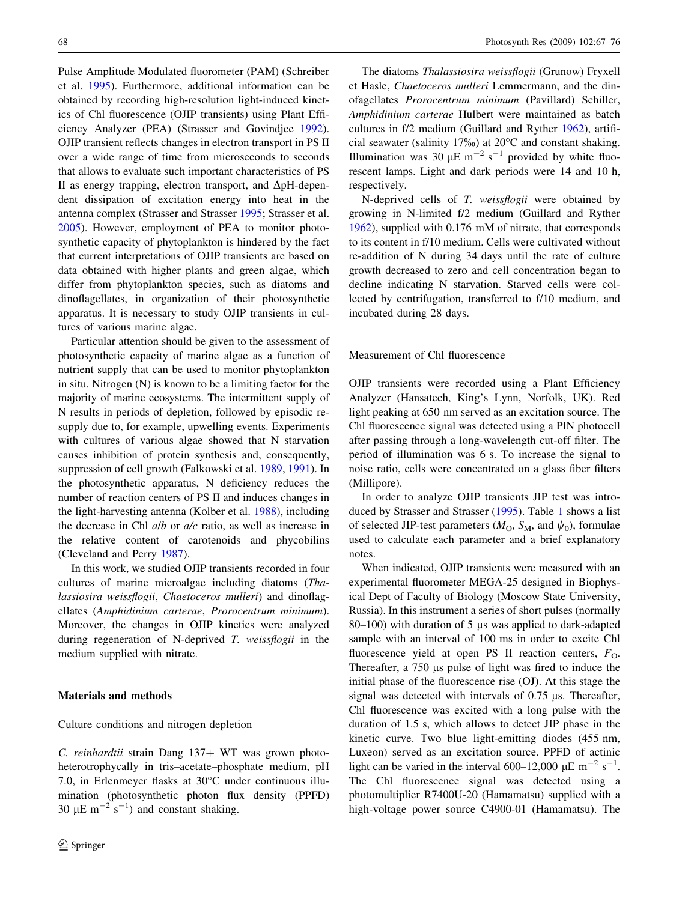Pulse Amplitude Modulated fluorometer (PAM) (Schreiber et al. [1995](#page-9-0)). Furthermore, additional information can be obtained by recording high-resolution light-induced kinetics of Chl fluorescence (OJIP transients) using Plant Efficiency Analyzer (PEA) (Strasser and Govindjee [1992](#page-9-0)). OJIP transient reflects changes in electron transport in PS II over a wide range of time from microseconds to seconds that allows to evaluate such important characteristics of PS II as energy trapping, electron transport, and  $\Delta pH$ -dependent dissipation of excitation energy into heat in the antenna complex (Strasser and Strasser [1995](#page-9-0); Strasser et al. [2005\)](#page-9-0). However, employment of PEA to monitor photosynthetic capacity of phytoplankton is hindered by the fact that current interpretations of OJIP transients are based on data obtained with higher plants and green algae, which differ from phytoplankton species, such as diatoms and dinoflagellates, in organization of their photosynthetic apparatus. It is necessary to study OJIP transients in cultures of various marine algae.

Particular attention should be given to the assessment of photosynthetic capacity of marine algae as a function of nutrient supply that can be used to monitor phytoplankton in situ. Nitrogen (N) is known to be a limiting factor for the majority of marine ecosystems. The intermittent supply of N results in periods of depletion, followed by episodic resupply due to, for example, upwelling events. Experiments with cultures of various algae showed that N starvation causes inhibition of protein synthesis and, consequently, suppression of cell growth (Falkowski et al. [1989,](#page-8-0) [1991\)](#page-8-0). In the photosynthetic apparatus, N deficiency reduces the number of reaction centers of PS II and induces changes in the light-harvesting antenna (Kolber et al. [1988\)](#page-8-0), including the decrease in Chl *alb* or *a/c* ratio, as well as increase in the relative content of carotenoids and phycobilins (Cleveland and Perry [1987](#page-8-0)).

In this work, we studied OJIP transients recorded in four cultures of marine microalgae including diatoms (Thalassiosira weissflogii, Chaetoceros mulleri) and dinoflagellates (Amphidinium carterae, Prorocentrum minimum). Moreover, the changes in OJIP kinetics were analyzed during regeneration of N-deprived T. weissflogii in the medium supplied with nitrate.

## Materials and methods

#### Culture conditions and nitrogen depletion

C. reinhardtii strain Dang  $137+$  WT was grown photoheterotrophycally in tris–acetate–phosphate medium, pH 7.0, in Erlenmeyer flasks at 30°C under continuous illumination (photosynthetic photon flux density (PPFD) 30  $\mu$ E m<sup>-2</sup> s<sup>-1</sup>) and constant shaking.

The diatoms Thalassiosira weissflogii (Grunow) Fryxell et Hasle, Chaetoceros mulleri Lemmermann, and the dinofagellates Prorocentrum minimum (Pavillard) Schiller, Amphidinium carterae Hulbert were maintained as batch cultures in f/2 medium (Guillard and Ryther [1962\)](#page-8-0), artificial seawater (salinity 17‰) at 20°C and constant shaking. Illumination was 30  $\mu$ E m<sup>-2</sup> s<sup>-1</sup> provided by white fluorescent lamps. Light and dark periods were 14 and 10 h, respectively.

N-deprived cells of T. weissflogii were obtained by growing in N-limited f/2 medium (Guillard and Ryther [1962](#page-8-0)), supplied with 0.176 mM of nitrate, that corresponds to its content in f/10 medium. Cells were cultivated without re-addition of N during 34 days until the rate of culture growth decreased to zero and cell concentration began to decline indicating N starvation. Starved cells were collected by centrifugation, transferred to f/10 medium, and incubated during 28 days.

## Measurement of Chl fluorescence

OJIP transients were recorded using a Plant Efficiency Analyzer (Hansatech, King's Lynn, Norfolk, UK). Red light peaking at 650 nm served as an excitation source. The Chl fluorescence signal was detected using a PIN photocell after passing through a long-wavelength cut-off filter. The period of illumination was 6 s. To increase the signal to noise ratio, cells were concentrated on a glass fiber filters (Millipore).

In order to analyze OJIP transients JIP test was introduced by Strasser and Strasser ([1995\)](#page-9-0). Table [1](#page-2-0) shows a list of selected JIP-test parameters ( $M_{\rm O}$ ,  $S_{\rm M}$ , and  $\psi_0$ ), formulae used to calculate each parameter and a brief explanatory notes.

When indicated, OJIP transients were measured with an experimental fluorometer MEGA-25 designed in Biophysical Dept of Faculty of Biology (Moscow State University, Russia). In this instrument a series of short pulses (normally 80–100) with duration of 5  $\mu$ s was applied to dark-adapted sample with an interval of 100 ms in order to excite Chl fluorescence yield at open PS II reaction centers,  $F<sub>O</sub>$ . Thereafter, a 750 µs pulse of light was fired to induce the initial phase of the fluorescence rise (OJ). At this stage the signal was detected with intervals of  $0.75 \mu s$ . Thereafter, Chl fluorescence was excited with a long pulse with the duration of 1.5 s, which allows to detect JIP phase in the kinetic curve. Two blue light-emitting diodes (455 nm, Luxeon) served as an excitation source. PPFD of actinic light can be varied in the interval 600–12,000  $\mu$ E m<sup>-2</sup> s<sup>-1</sup>. The Chl fluorescence signal was detected using a photomultiplier R7400U-20 (Hamamatsu) supplied with a high-voltage power source C4900-01 (Hamamatsu). The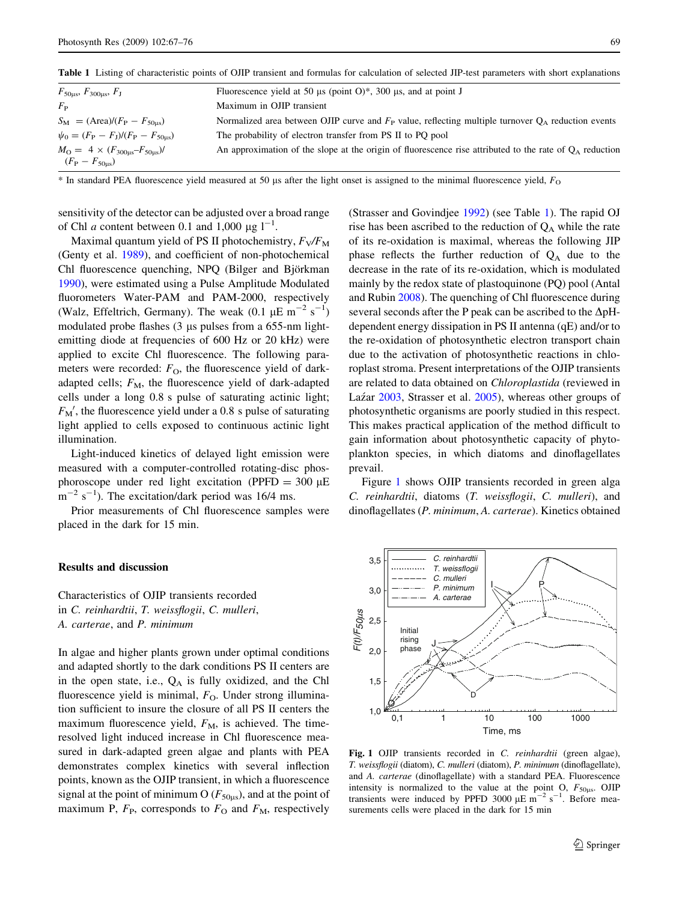<span id="page-2-0"></span>Table 1 Listing of characteristic points of OJIP transient and formulas for calculation of selected JIP-test parameters with short explanations

| $F_{50\mu s}$ , $F_{300\mu s}$ , $F_{J}$                   | Fluorescence yield at 50 µs (point $O$ )*, 300 µs, and at point J                                          |
|------------------------------------------------------------|------------------------------------------------------------------------------------------------------------|
| $F_{\rm P}$                                                | Maximum in OJIP transient                                                                                  |
| $S_{\rm M} = (Area)/(F_{\rm P} - F_{50 \,\text{\tiny I}})$ | Normalized area between OJIP curve and $F_P$ value, reflecting multiple turnover $Q_A$ reduction events    |
| $\psi_0 = (F_P - F_I)/(F_P - F_{50us})$                    | The probability of electron transfer from PS II to PQ pool                                                 |
| $M_{\rm O} = 4 \times (F_{300 \mu s} - F_{50 \mu s})/$     | An approximation of the slope at the origin of fluorescence rise attributed to the rate of $Q_A$ reduction |
| $(F_{\rm P}-F_{\rm 50us})$                                 |                                                                                                            |

 $*$  In standard PEA fluorescence yield measured at 50 µs after the light onset is assigned to the minimal fluorescence yield,  $F<sub>O</sub>$ 

sensitivity of the detector can be adjusted over a broad range of Chl *a* content between 0.1 and 1,000  $\mu$ g l<sup>-1</sup>.

Maximal quantum yield of PS II photochemistry,  $F_V/F_M$ (Genty et al. [1989\)](#page-8-0), and coefficient of non-photochemical Chl fluorescence quenching, NPQ (Bilger and Björkman [1990\)](#page-8-0), were estimated using a Pulse Amplitude Modulated fluorometers Water-PAM and PAM-2000, respectively (Walz, Effeltrich, Germany). The weak  $(0.1 \mu E m^{-2} s^{-1})$ modulated probe flashes  $(3 \mu s)$  pulses from a 655-nm lightemitting diode at frequencies of 600 Hz or 20 kHz) were applied to excite Chl fluorescence. The following parameters were recorded:  $F<sub>O</sub>$ , the fluorescence yield of darkadapted cells;  $F_M$ , the fluorescence yield of dark-adapted cells under a long 0.8 s pulse of saturating actinic light;  $F_M'$ , the fluorescence yield under a 0.8 s pulse of saturating light applied to cells exposed to continuous actinic light illumination.

Light-induced kinetics of delayed light emission were measured with a computer-controlled rotating-disc phosphoroscope under red light excitation (PPFD = 300  $\mu$ E  $m^{-2}$  s<sup>-1</sup>). The excitation/dark period was 16/4 ms.

Prior measurements of Chl fluorescence samples were placed in the dark for 15 min.

### Results and discussion

Characteristics of OJIP transients recorded in C. reinhardtii, T. weissflogii, C. mulleri, A. carterae, and P. minimum

In algae and higher plants grown under optimal conditions and adapted shortly to the dark conditions PS II centers are in the open state, i.e.,  $Q_A$  is fully oxidized, and the Chl fluorescence yield is minimal,  $F<sub>O</sub>$ . Under strong illumination sufficient to insure the closure of all PS II centers the maximum fluorescence yield,  $F_M$ , is achieved. The timeresolved light induced increase in Chl fluorescence measured in dark-adapted green algae and plants with PEA demonstrates complex kinetics with several inflection points, known as the OJIP transient, in which a fluorescence signal at the point of minimum O ( $F_{50\mu s}$ ), and at the point of maximum P,  $F<sub>P</sub>$ , corresponds to  $F<sub>O</sub>$  and  $F<sub>M</sub>$ , respectively

(Strasser and Govindjee [1992\)](#page-9-0) (see Table 1). The rapid OJ rise has been ascribed to the reduction of  $Q_A$  while the rate of its re-oxidation is maximal, whereas the following JIP phase reflects the further reduction of  $Q_A$  due to the decrease in the rate of its re-oxidation, which is modulated mainly by the redox state of plastoquinone (PQ) pool (Antal and Rubin [2008](#page-8-0)). The quenching of Chl fluorescence during several seconds after the P peak can be ascribed to the  $\Delta pH$ dependent energy dissipation in PS II antenna (qE) and/or to the re-oxidation of photosynthetic electron transport chain due to the activation of photosynthetic reactions in chloroplast stroma. Present interpretations of the OJIP transients are related to data obtained on Chloroplastida (reviewed in Laz´ar [2003](#page-8-0), Strasser et al. [2005](#page-9-0)), whereas other groups of photosynthetic organisms are poorly studied in this respect. This makes practical application of the method difficult to gain information about photosynthetic capacity of phytoplankton species, in which diatoms and dinoflagellates prevail.

Figure 1 shows OJIP transients recorded in green alga C. reinhardtii, diatoms (T. weissflogii, C. mulleri), and dinoflagellates (P. minimum, A. carterae). Kinetics obtained



Fig. 1 OJIP transients recorded in C. reinhardtii (green algae), T. weissflogii (diatom), C. mulleri (diatom), P. minimum (dinoflagellate), and A. carterae (dinoflagellate) with a standard PEA. Fluorescence intensity is normalized to the value at the point O,  $F_{50\mu s}$ . OJIP transients were induced by PPFD 3000  $\mu$ E m<sup>-2</sup> s<sup>-1</sup>. Before measurements cells were placed in the dark for 15 min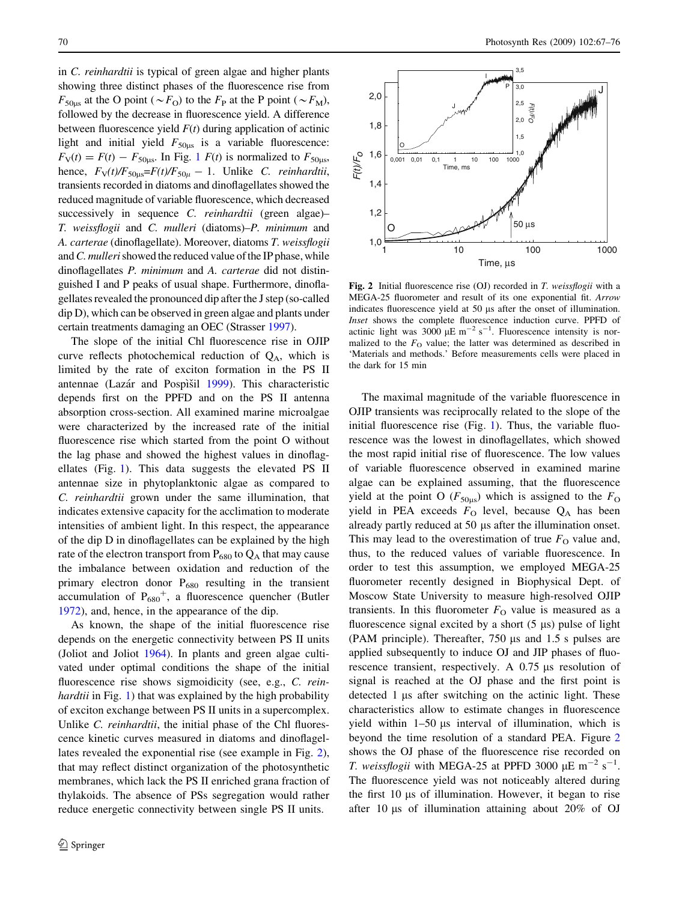in C. reinhardtii is typical of green algae and higher plants showing three distinct phases of the fluorescence rise from  $F_{50us}$  at the O point ( $\sim F_{\text{O}}$ ) to the  $F_{\text{P}}$  at the P point ( $\sim F_{\text{M}}$ ), followed by the decrease in fluorescence yield. A difference between fluorescence yield  $F(t)$  during application of actinic light and initial yield  $F_{50us}$  is a variable fluorescence:  $F_V(t) = F(t) - F_{50\mu s}$ . In Fig. [1](#page-2-0)  $F(t)$  is normalized to  $F_{50\mu s}$ , hence,  $F_V(t)/F_{50\mu} = F(t)/F_{50\mu} - 1$ . Unlike C. reinhardtii, transients recorded in diatoms and dinoflagellates showed the reduced magnitude of variable fluorescence, which decreased successively in sequence C. *reinhardtii* (green algae)– T. weissflogii and C. mulleri (diatoms)–P. minimum and A. carterae (dinoflagellate). Moreover, diatoms T. weissflogii and C. mulleri showed the reduced value of the IP phase, while dinoflagellates P. minimum and A. carterae did not distinguished I and P peaks of usual shape. Furthermore, dinoflagellates revealed the pronounced dip after the J step (so-called dip D), which can be observed in green algae and plants under certain treatments damaging an OEC (Strasser [1997\)](#page-9-0).

The slope of the initial Chl fluorescence rise in OJIP curve reflects photochemical reduction of  $Q_A$ , which is limited by the rate of exciton formation in the PS II antennae (Lazár and Pospìšil [1999\)](#page-8-0). This characteristic depends first on the PPFD and on the PS II antenna absorption cross-section. All examined marine microalgae were characterized by the increased rate of the initial fluorescence rise which started from the point O without the lag phase and showed the highest values in dinoflagellates (Fig. [1](#page-2-0)). This data suggests the elevated PS II antennae size in phytoplanktonic algae as compared to C. reinhardtii grown under the same illumination, that indicates extensive capacity for the acclimation to moderate intensities of ambient light. In this respect, the appearance of the dip D in dinoflagellates can be explained by the high rate of the electron transport from  $P_{680}$  to  $Q_A$  that may cause the imbalance between oxidation and reduction of the primary electron donor  $P_{680}$  resulting in the transient accumulation of  $P_{680}$ <sup>+</sup>, a fluorescence quencher (Butler [1972\)](#page-8-0), and, hence, in the appearance of the dip.

As known, the shape of the initial fluorescence rise depends on the energetic connectivity between PS II units (Joliot and Joliot [1964](#page-8-0)). In plants and green algae cultivated under optimal conditions the shape of the initial fluorescence rise shows sigmoidicity (see, e.g., C. rein-hardtii in Fig. [1](#page-2-0)) that was explained by the high probability of exciton exchange between PS II units in a supercomplex. Unlike C. reinhardtii, the initial phase of the Chl fluorescence kinetic curves measured in diatoms and dinoflagellates revealed the exponential rise (see example in Fig. 2), that may reflect distinct organization of the photosynthetic membranes, which lack the PS II enriched grana fraction of thylakoids. The absence of PSs segregation would rather reduce energetic connectivity between single PS II units.



Fig. 2 Initial fluorescence rise (OJ) recorded in T. weissflogii with a MEGA-25 fluorometer and result of its one exponential fit. Arrow indicates fluorescence yield at 50 µs after the onset of illumination. Inset shows the complete fluorescence induction curve. PPFD of actinic light was 3000  $\mu$ E m<sup>-2</sup> s<sup>-1</sup>. Fluorescence intensity is normalized to the  $F<sub>O</sub>$  value; the latter was determined as described in 'Materials and methods.' Before measurements cells were placed in the dark for 15 min

The maximal magnitude of the variable fluorescence in OJIP transients was reciprocally related to the slope of the initial fluorescence rise (Fig. [1\)](#page-2-0). Thus, the variable fluorescence was the lowest in dinoflagellates, which showed the most rapid initial rise of fluorescence. The low values of variable fluorescence observed in examined marine algae can be explained assuming, that the fluorescence yield at the point O ( $F_{50\mu s}$ ) which is assigned to the  $F_{\text{O}}$ yield in PEA exceeds  $F_{\text{O}}$  level, because  $Q_{\text{A}}$  has been already partly reduced at 50 µs after the illumination onset. This may lead to the overestimation of true  $F<sub>O</sub>$  value and, thus, to the reduced values of variable fluorescence. In order to test this assumption, we employed MEGA-25 fluorometer recently designed in Biophysical Dept. of Moscow State University to measure high-resolved OJIP transients. In this fluorometer  $F<sub>O</sub>$  value is measured as a fluorescence signal excited by a short  $(5 \mu s)$  pulse of light (PAM principle). Thereafter,  $750 \mu s$  and  $1.5 \text{ s pulses are}$ applied subsequently to induce OJ and JIP phases of fluorescence transient, respectively. A 0.75 µs resolution of signal is reached at the OJ phase and the first point is detected  $1 \mu s$  after switching on the actinic light. These characteristics allow to estimate changes in fluorescence yield within  $1-50 \mu s$  interval of illumination, which is beyond the time resolution of a standard PEA. Figure 2 shows the OJ phase of the fluorescence rise recorded on *T. weissflogii* with MEGA-25 at PPFD 3000  $\mu$ E m<sup>-2</sup> s<sup>-1</sup>. The fluorescence yield was not noticeably altered during the first  $10 \mu s$  of illumination. However, it began to rise after 10  $\mu$ s of illumination attaining about 20% of OJ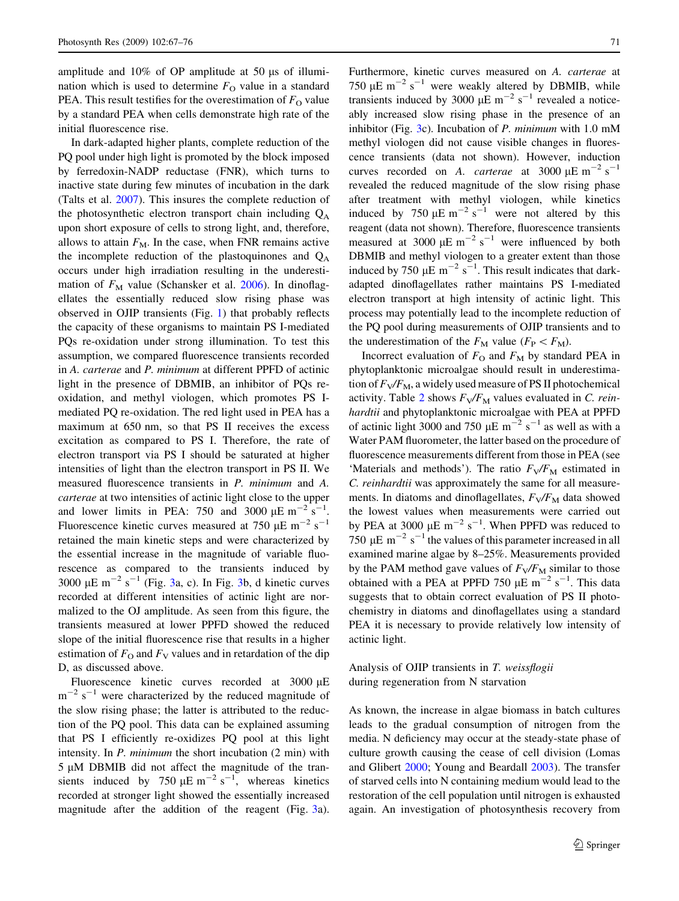amplitude and  $10\%$  of OP amplitude at 50  $\mu$ s of illumination which is used to determine  $F_{\Omega}$  value in a standard PEA. This result testifies for the overestimation of  $F_{\Omega}$  value by a standard PEA when cells demonstrate high rate of the initial fluorescence rise.

In dark-adapted higher plants, complete reduction of the PQ pool under high light is promoted by the block imposed by ferredoxin-NADP reductase (FNR), which turns to inactive state during few minutes of incubation in the dark (Talts et al. [2007\)](#page-9-0). This insures the complete reduction of the photosynthetic electron transport chain including  $Q_A$ upon short exposure of cells to strong light, and, therefore, allows to attain  $F_M$ . In the case, when FNR remains active the incomplete reduction of the plastoquinones and  $Q_A$ occurs under high irradiation resulting in the underestimation of  $F_M$  value (Schansker et al. [2006\)](#page-9-0). In dinoflagellates the essentially reduced slow rising phase was observed in OJIP transients (Fig. [1](#page-2-0)) that probably reflects the capacity of these organisms to maintain PS I-mediated PQs re-oxidation under strong illumination. To test this assumption, we compared fluorescence transients recorded in A. carterae and P. minimum at different PPFD of actinic light in the presence of DBMIB, an inhibitor of PQs reoxidation, and methyl viologen, which promotes PS Imediated PQ re-oxidation. The red light used in PEA has a maximum at 650 nm, so that PS II receives the excess excitation as compared to PS I. Therefore, the rate of electron transport via PS I should be saturated at higher intensities of light than the electron transport in PS II. We measured fluorescence transients in P. minimum and A. carterae at two intensities of actinic light close to the upper and lower limits in PEA: 750 and 3000  $\mu$ E m<sup>-2</sup> s<sup>-1</sup>. Fluorescence kinetic curves measured at 750  $\mu$ E m<sup>-2</sup> s<sup>-1</sup> retained the main kinetic steps and were characterized by the essential increase in the magnitude of variable fluorescence as compared to the transients induced by [3](#page-5-0)000  $\mu$ E m<sup>-2</sup> s<sup>-1</sup> (Fig. [3a](#page-5-0), c). In Fig. 3b, d kinetic curves recorded at different intensities of actinic light are normalized to the OJ amplitude. As seen from this figure, the transients measured at lower PPFD showed the reduced slope of the initial fluorescence rise that results in a higher estimation of  $F_{\rm O}$  and  $F_{\rm V}$  values and in retardation of the dip D, as discussed above.

Fluorescence kinetic curves recorded at 3000 µE  $m^{-2}$  s<sup>-1</sup> were characterized by the reduced magnitude of the slow rising phase; the latter is attributed to the reduction of the PQ pool. This data can be explained assuming that PS I efficiently re-oxidizes PQ pool at this light intensity. In P. minimum the short incubation (2 min) with  $5 \mu M$  DBMIB did not affect the magnitude of the transients induced by 750  $\mu$ E m<sup>-2</sup> s<sup>-1</sup>, whereas kinetics recorded at stronger light showed the essentially increased magnitude after the addition of the reagent (Fig. [3a](#page-5-0)). Furthermore, kinetic curves measured on A. carterae at 750  $\mu$ E m<sup>-2</sup> s<sup>-1</sup> were weakly altered by DBMIB, while transients induced by 3000  $\mu$ E m<sup>-2</sup> s<sup>-1</sup> revealed a noticeably increased slow rising phase in the presence of an inhibitor (Fig. [3](#page-5-0)c). Incubation of P. minimum with 1.0 mM methyl viologen did not cause visible changes in fluorescence transients (data not shown). However, induction curves recorded on A. *carterae* at 3000  $\mu$ E m<sup>-2</sup> s<sup>-1</sup> revealed the reduced magnitude of the slow rising phase after treatment with methyl viologen, while kinetics induced by 750  $\mu$ E m<sup>-2</sup> s<sup>-1</sup> were not altered by this reagent (data not shown). Therefore, fluorescence transients measured at 3000  $\mu$ E m<sup>-2</sup> s<sup>-1</sup> were influenced by both DBMIB and methyl viologen to a greater extent than those induced by 750  $\mu$ E m<sup>-2</sup> s<sup>-1</sup>. This result indicates that darkadapted dinoflagellates rather maintains PS I-mediated electron transport at high intensity of actinic light. This process may potentially lead to the incomplete reduction of the PQ pool during measurements of OJIP transients and to the underestimation of the  $F_M$  value ( $F_P \lt F_M$ ).

Incorrect evaluation of  $F_{\text{O}}$  and  $F_{\text{M}}$  by standard PEA in phytoplanktonic microalgae should result in underestimation of  $F_V/F_M$ , a widely used measure of PS II photochemical activity. Table [2](#page-5-0) shows  $F_V/F_M$  values evaluated in C. reinhardtii and phytoplanktonic microalgae with PEA at PPFD of actinic light 3000 and 750  $\mu$ E m<sup>-2</sup> s<sup>-1</sup> as well as with a Water PAM fluorometer, the latter based on the procedure of fluorescence measurements different from those in PEA (see 'Materials and methods'). The ratio  $F_V/F_M$  estimated in C. reinhardtii was approximately the same for all measurements. In diatoms and dinoflagellates,  $F_V/F_M$  data showed the lowest values when measurements were carried out by PEA at 3000  $\mu$ E m<sup>-2</sup> s<sup>-1</sup>. When PPFD was reduced to 750  $\mu$ E m<sup>-2</sup> s<sup>-1</sup> the values of this parameter increased in all examined marine algae by 8–25%. Measurements provided by the PAM method gave values of  $F_V/F_M$  similar to those obtained with a PEA at PPFD 750  $\mu$ E m<sup>-2</sup> s<sup>-1</sup>. This data suggests that to obtain correct evaluation of PS II photochemistry in diatoms and dinoflagellates using a standard PEA it is necessary to provide relatively low intensity of actinic light.

## Analysis of OJIP transients in T. weissflogii during regeneration from N starvation

As known, the increase in algae biomass in batch cultures leads to the gradual consumption of nitrogen from the media. N deficiency may occur at the steady-state phase of culture growth causing the cease of cell division (Lomas and Glibert [2000](#page-8-0); Young and Beardall [2003](#page-9-0)). The transfer of starved cells into N containing medium would lead to the restoration of the cell population until nitrogen is exhausted again. An investigation of photosynthesis recovery from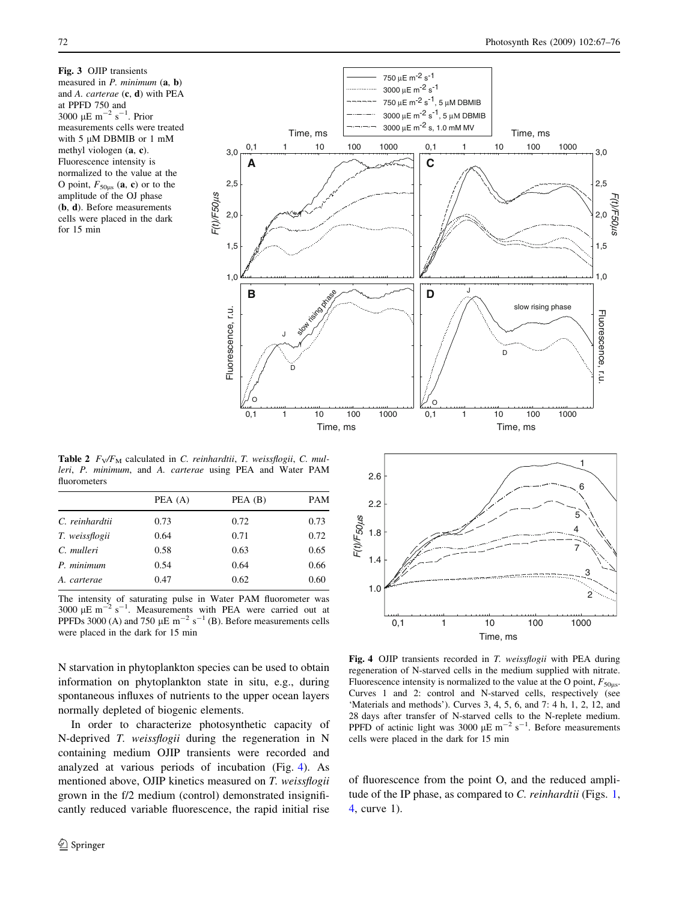<span id="page-5-0"></span>Fig. 3 OJIP transients measured in  $P$ . minimum  $(a, b)$ and A. carterae (c, d) with PEA at PPFD 750 and 3000  $\mu$ E m<sup>-2</sup> s<sup>-1</sup>. Prior measurements cells were treated with  $5 \mu M$  DBMIB or 1 mM methyl viologen (a, c). Fluorescence intensity is normalized to the value at the O point,  $F_{50\mu s}$  (a, c) or to the amplitude of the OJ phase (b, d). Before measurements cells were placed in the dark for 15 min



Table 2  $F_V/F_M$  calculated in C. reinhardtii, T. weissflogii, C. mulleri, P. minimum, and A. carterae using PEA and Water PAM fluorometers

|                | PEA (A) | PEA (B) | PAM  |
|----------------|---------|---------|------|
| C. reinhardtii | 0.73    | 0.72    | 0.73 |
| T. weissflogii | 0.64    | 0.71    | 0.72 |
| C. mulleri     | 0.58    | 0.63    | 0.65 |
| P. minimum     | 0.54    | 0.64    | 0.66 |
| A. carterae    | 0.47    | 0.62    | 0.60 |

The intensity of saturating pulse in Water PAM fluorometer was 3000  $\mu$ E m<sup>-2</sup> s<sup>-1</sup>. Measurements with PEA were carried out at PPFDs 3000 (A) and 750  $\mu$ E m<sup>-2</sup> s<sup>-1</sup> (B). Before measurements cells were placed in the dark for 15 min Time, ms

N starvation in phytoplankton species can be used to obtain information on phytoplankton state in situ, e.g., during spontaneous influxes of nutrients to the upper ocean layers normally depleted of biogenic elements.

In order to characterize photosynthetic capacity of N-deprived T. weissflogii during the regeneration in N containing medium OJIP transients were recorded and analyzed at various periods of incubation (Fig. 4). As mentioned above, OJIP kinetics measured on T. weissflogii grown in the f/2 medium (control) demonstrated insignificantly reduced variable fluorescence, the rapid initial rise



Fig. 4 OJIP transients recorded in T. weissflogii with PEA during regeneration of N-starved cells in the medium supplied with nitrate. Fluorescence intensity is normalized to the value at the O point,  $F_{50\mu s}$ . Curves 1 and 2: control and N-starved cells, respectively (see 'Materials and methods'). Curves 3, 4, 5, 6, and 7: 4 h, 1, 2, 12, and 28 days after transfer of N-starved cells to the N-replete medium.<br>PPFD of actinic light was 3000  $\mu$ E m<sup>-2</sup> s<sup>-1</sup>. Before measurements cells were placed in the dark for 15 min

of fluorescence from the point O, and the reduced ampli-tude of the IP phase, as compared to C. reinhardtii (Figs. [1,](#page-2-0) 4, curve 1).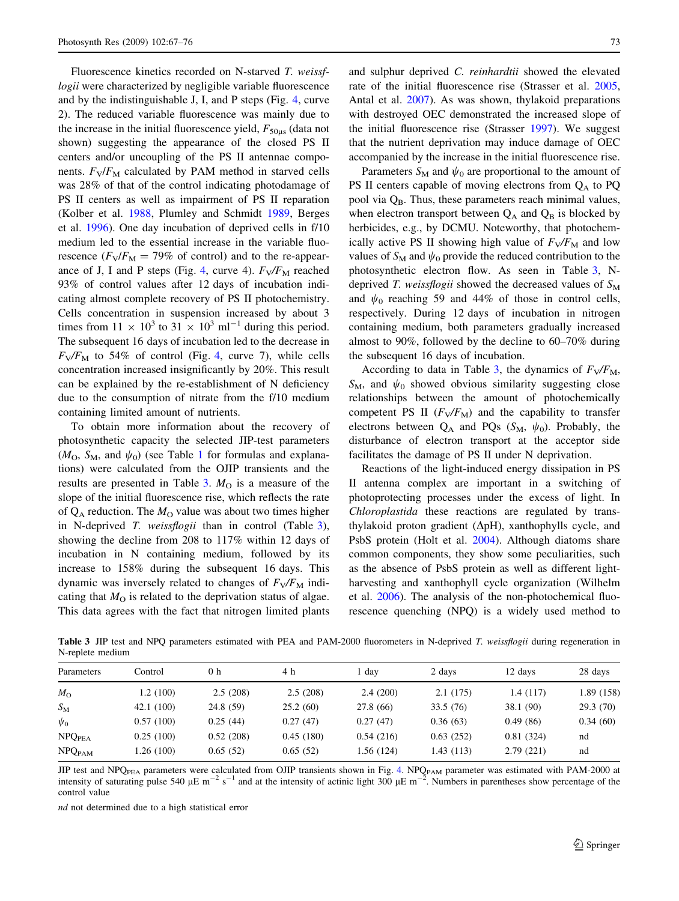<span id="page-6-0"></span>Fluorescence kinetics recorded on N-starved T. weissflogii were characterized by negligible variable fluorescence and by the indistinguishable J, I, and P steps (Fig. [4,](#page-5-0) curve 2). The reduced variable fluorescence was mainly due to the increase in the initial fluorescence yield,  $F_{50\mu s}$  (data not shown) suggesting the appearance of the closed PS II centers and/or uncoupling of the PS II antennae components.  $F_V/F_M$  calculated by PAM method in starved cells was 28% of that of the control indicating photodamage of PS II centers as well as impairment of PS II reparation (Kolber et al. [1988,](#page-8-0) Plumley and Schmidt [1989](#page-9-0), Berges et al. [1996](#page-8-0)). One day incubation of deprived cells in f/10 medium led to the essential increase in the variable fluorescence  $(F_V/F_M = 79\%$  of control) and to the re-appear-ance of J, I and P steps (Fig. [4,](#page-5-0) curve 4).  $F_V/F_M$  reached 93% of control values after 12 days of incubation indicating almost complete recovery of PS II photochemistry. Cells concentration in suspension increased by about 3 times from  $11 \times 10^3$  to  $31 \times 10^3$  ml<sup>-1</sup> during this period. The subsequent 16 days of incubation led to the decrease in  $F_V/F_M$  to 5[4](#page-5-0)% of control (Fig. 4, curve 7), while cells concentration increased insignificantly by 20%. This result can be explained by the re-establishment of N deficiency due to the consumption of nitrate from the f/10 medium containing limited amount of nutrients.

To obtain more information about the recovery of photosynthetic capacity the selected JIP-test parameters  $(M<sub>O</sub>, S<sub>M</sub>,$  and  $\psi<sub>0</sub>$  (see Table [1](#page-2-0) for formulas and explanations) were calculated from the OJIP transients and the results are presented in Table 3.  $M<sub>O</sub>$  is a measure of the slope of the initial fluorescence rise, which reflects the rate of  $Q_A$  reduction. The  $M_O$  value was about two times higher in N-deprived T. weissflogii than in control (Table 3), showing the decline from 208 to 117% within 12 days of incubation in N containing medium, followed by its increase to 158% during the subsequent 16 days. This dynamic was inversely related to changes of  $F_V/F_M$  indicating that  $M_{\Omega}$  is related to the deprivation status of algae. This data agrees with the fact that nitrogen limited plants and sulphur deprived C. reinhardtii showed the elevated rate of the initial fluorescence rise (Strasser et al. [2005,](#page-9-0) Antal et al. [2007\)](#page-8-0). As was shown, thylakoid preparations with destroyed OEC demonstrated the increased slope of the initial fluorescence rise (Strasser [1997](#page-9-0)). We suggest that the nutrient deprivation may induce damage of OEC accompanied by the increase in the initial fluorescence rise.

Parameters  $S_M$  and  $\psi_0$  are proportional to the amount of PS II centers capable of moving electrons from  $Q_A$  to PQ pool via  $Q_B$ . Thus, these parameters reach minimal values, when electron transport between  $Q_A$  and  $Q_B$  is blocked by herbicides, e.g., by DCMU. Noteworthy, that photochemically active PS II showing high value of  $F_V/F_M$  and low values of  $S_M$  and  $\psi_0$  provide the reduced contribution to the photosynthetic electron flow. As seen in Table 3, Ndeprived T. weissflogii showed the decreased values of  $S_M$ and  $\psi_0$  reaching 59 and 44% of those in control cells, respectively. During 12 days of incubation in nitrogen containing medium, both parameters gradually increased almost to 90%, followed by the decline to 60–70% during the subsequent 16 days of incubation.

According to data in Table 3, the dynamics of  $F_V/F_M$ ,  $S_M$ , and  $\psi_0$  showed obvious similarity suggesting close relationships between the amount of photochemically competent PS II  $(F_V/F_M)$  and the capability to transfer electrons between  $Q_A$  and PQs ( $S_M$ ,  $\psi_0$ ). Probably, the disturbance of electron transport at the acceptor side facilitates the damage of PS II under N deprivation.

Reactions of the light-induced energy dissipation in PS II antenna complex are important in a switching of photoprotecting processes under the excess of light. In Chloroplastida these reactions are regulated by transthylakoid proton gradient  $(\Delta pH)$ , xanthophylls cycle, and PsbS protein (Holt et al. [2004\)](#page-8-0). Although diatoms share common components, they show some peculiarities, such as the absence of PsbS protein as well as different lightharvesting and xanthophyll cycle organization (Wilhelm et al. [2006\)](#page-9-0). The analysis of the non-photochemical fluorescence quenching (NPQ) is a widely used method to

Table 3 JIP test and NPQ parameters estimated with PEA and PAM-2000 fluorometers in N-deprived T. weissflogii during regeneration in N-replete medium

| Parameters                | Control    | 0 <sub>h</sub> | 4 h       | l day     | 2 days    | 12 days   | 28 days    |
|---------------------------|------------|----------------|-----------|-----------|-----------|-----------|------------|
| $M_{\odot}$               | 1.2 (100)  | 2.5(208)       | 2.5(208)  | 2.4(200)  | 2.1(175)  | 1.4(117)  | 1.89 (158) |
| $S_{\rm M}$               | 42.1 (100) | 24.8 (59)      | 25.2(60)  | 27.8 (66) | 33.5(76)  | 38.1 (90) | 29.3(70)   |
| $\psi_0$                  | 0.57(100)  | 0.25(44)       | 0.27(47)  | 0.27(47)  | 0.36(63)  | 0.49(86)  | 0.34(60)   |
| <b>NPQPEA</b>             | 0.25(100)  | 0.52(208)      | 0.45(180) | 0.54(216) | 0.63(252) | 0.81(324) | nd         |
| <b>NPQ</b> <sub>PAM</sub> | 1.26 (100) | 0.65(52)       | 0.65(52)  | 1.56(124) | 1.43(113) | 2.79(221) | nd         |

JIP test and NPQ<sub>PEA</sub> parameters were calculated from OJIP transients shown in Fig. [4](#page-5-0). NPQ<sub>PAM</sub> parameter was estimated with PAM-2000 at intensity of saturating pulse 540  $\mu$ E m<sup>-2</sup> s<sup>-1</sup> and at the intensity of actinic light 300  $\mu$ E m<sup>-2</sup>. Numbers in parentheses show percentage of the control value

nd not determined due to a high statistical error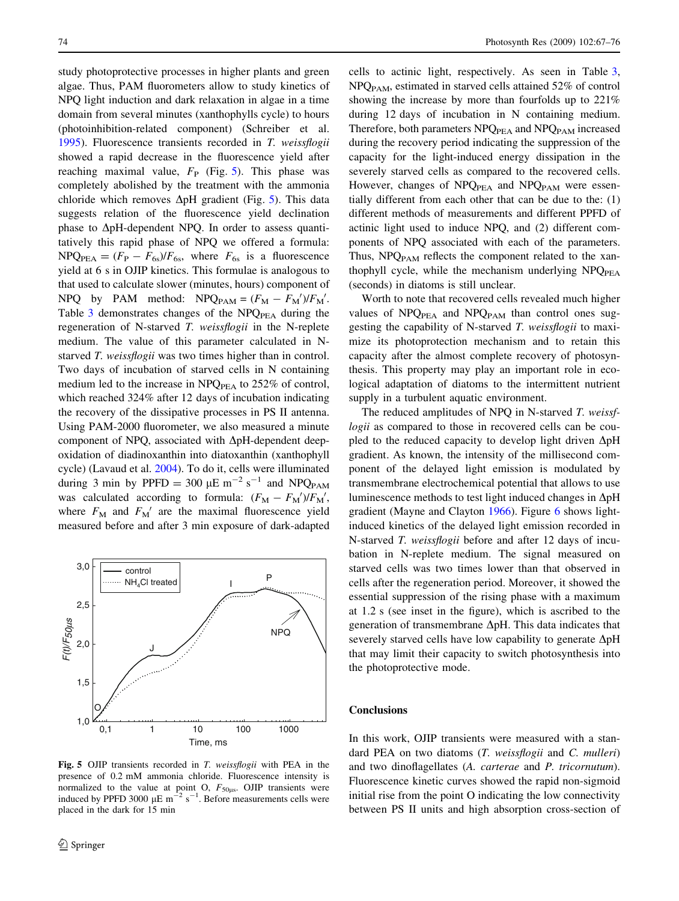study photoprotective processes in higher plants and green algae. Thus, PAM fluorometers allow to study kinetics of NPQ light induction and dark relaxation in algae in a time domain from several minutes (xanthophylls cycle) to hours (photoinhibition-related component) (Schreiber et al. [1995\)](#page-9-0). Fluorescence transients recorded in T. weissflogii showed a rapid decrease in the fluorescence yield after reaching maximal value,  $F<sub>P</sub>$  (Fig. 5). This phase was completely abolished by the treatment with the ammonia chloride which removes  $\Delta pH$  gradient (Fig. 5). This data suggests relation of the fluorescence yield declination phase to  $\Delta pH$ -dependent NPQ. In order to assess quantitatively this rapid phase of NPQ we offered a formula:  $NPQ<sub>PEA</sub> = (F<sub>P</sub> - F<sub>6s</sub>)/F<sub>6s</sub>$ , where  $F<sub>6s</sub>$  is a fluorescence yield at 6 s in OJIP kinetics. This formulae is analogous to that used to calculate slower (minutes, hours) component of NPQ by PAM method:  $NPQ_{PAM} = (F_M - F_M)/F_M'$ . Table  $3$  demonstrates changes of the NPQ $_{PEA}$  during the regeneration of N-starved T. weissflogii in the N-replete medium. The value of this parameter calculated in Nstarved T. weissflogii was two times higher than in control. Two days of incubation of starved cells in N containing medium led to the increase in  $NPQ<sub>PEA</sub>$  to 252% of control, which reached 324% after 12 days of incubation indicating the recovery of the dissipative processes in PS II antenna. Using PAM-2000 fluorometer, we also measured a minute component of NPQ, associated with  $\Delta pH$ -dependent deepoxidation of diadinoxanthin into diatoxanthin (xanthophyll cycle) (Lavaud et al. [2004\)](#page-8-0). To do it, cells were illuminated during 3 min by PPFD = 300  $\mu$ E m<sup>-2</sup> s<sup>-1</sup> and NPQ<sub>PAM</sub> was calculated according to formula:  $(F_M - F_M)/F_M'$ , where  $F_M$  and  $F_M'$  are the maximal fluorescence yield measured before and after 3 min exposure of dark-adapted



Fig. 5 OJIP transients recorded in T. weissflogii with PEA in the presence of 0.2 mM ammonia chloride. Fluorescence intensity is normalized to the value at point O,  $F_{50\mu s}$ . OJIP transients were induced by PPFD 3000  $\mu$ E m<sup>-2</sup> s<sup>-1</sup>. Before measurements cells were placed in the dark for 15 min

cells to actinic light, respectively. As seen in Table [3,](#page-6-0) NPQ<sub>PAM</sub>, estimated in starved cells attained 52% of control showing the increase by more than fourfolds up to 221% during 12 days of incubation in N containing medium. Therefore, both parameters NPQ<sub>PEA</sub> and NPQ<sub>PAM</sub> increased during the recovery period indicating the suppression of the capacity for the light-induced energy dissipation in the severely starved cells as compared to the recovered cells. However, changes of  $NPQ_{PEA}$  and  $NPQ_{PAM}$  were essentially different from each other that can be due to the: (1) different methods of measurements and different PPFD of actinic light used to induce NPQ, and (2) different components of NPQ associated with each of the parameters. Thus,  $NPQ_{PAM}$  reflects the component related to the xanthophyll cycle, while the mechanism underlying NPQ<sub>PEA</sub> (seconds) in diatoms is still unclear.

Worth to note that recovered cells revealed much higher values of  $NPQ<sub>PEA</sub>$  and  $NPQ<sub>PAM</sub>$  than control ones suggesting the capability of N-starved T. weissflogii to maximize its photoprotection mechanism and to retain this capacity after the almost complete recovery of photosynthesis. This property may play an important role in ecological adaptation of diatoms to the intermittent nutrient supply in a turbulent aquatic environment.

The reduced amplitudes of NPQ in N-starved T. weissflogii as compared to those in recovered cells can be coupled to the reduced capacity to develop light driven  $\Delta pH$ gradient. As known, the intensity of the millisecond component of the delayed light emission is modulated by transmembrane electrochemical potential that allows to use luminescence methods to test light induced changes in  $\Delta pH$ gradient (Mayne and Clayton [1966](#page-9-0)). Figure [6](#page-8-0) shows lightinduced kinetics of the delayed light emission recorded in N-starved T. weissflogii before and after 12 days of incubation in N-replete medium. The signal measured on starved cells was two times lower than that observed in cells after the regeneration period. Moreover, it showed the essential suppression of the rising phase with a maximum at 1.2 s (see inset in the figure), which is ascribed to the generation of transmembrane  $\Delta pH$ . This data indicates that severely starved cells have low capability to generate  $\Delta pH$ that may limit their capacity to switch photosynthesis into the photoprotective mode.

#### **Conclusions**

In this work, OJIP transients were measured with a standard PEA on two diatoms (T. weissflogii and C. mulleri) and two dinoflagellates (A. carterae and P. tricornutum). Fluorescence kinetic curves showed the rapid non-sigmoid initial rise from the point O indicating the low connectivity between PS II units and high absorption cross-section of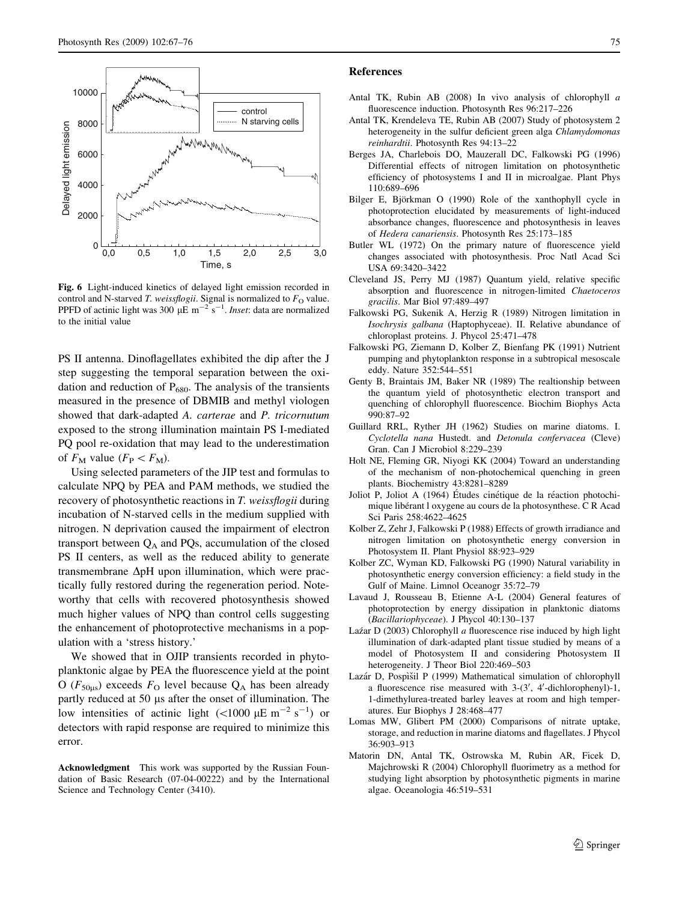<span id="page-8-0"></span>

Fig. 6 Light-induced kinetics of delayed light emission recorded in control and N-starved T. weissflogii. Signal is normalized to  $F<sub>O</sub>$  value. PPFD of actinic light was 300  $\mu$ E m<sup>-2</sup> s<sup>-1</sup>. Inset: data are normalized to the initial value

PS II antenna. Dinoflagellates exhibited the dip after the J step suggesting the temporal separation between the oxidation and reduction of  $P_{680}$ . The analysis of the transients measured in the presence of DBMIB and methyl viologen showed that dark-adapted A. carterae and P. tricornutum exposed to the strong illumination maintain PS I-mediated PQ pool re-oxidation that may lead to the underestimation of  $F_M$  value  $(F_P < F_M)$ .

Using selected parameters of the JIP test and formulas to calculate NPQ by PEA and PAM methods, we studied the recovery of photosynthetic reactions in T. weissflogii during incubation of N-starved cells in the medium supplied with nitrogen. N deprivation caused the impairment of electron transport between  $Q_A$  and PQs, accumulation of the closed PS II centers, as well as the reduced ability to generate transmembrane  $\Delta pH$  upon illumination, which were practically fully restored during the regeneration period. Noteworthy that cells with recovered photosynthesis showed much higher values of NPQ than control cells suggesting the enhancement of photoprotective mechanisms in a population with a 'stress history.'

We showed that in OJIP transients recorded in phytoplanktonic algae by PEA the fluorescence yield at the point O ( $F_{50us}$ ) exceeds  $F_{\text{O}}$  level because  $Q_{\text{A}}$  has been already partly reduced at 50 µs after the onset of illumination. The low intensities of actinic light  $(<1000 \ \mu \text{E m}^{-2} \text{ s}^{-1})$  or detectors with rapid response are required to minimize this error.

Acknowledgment This work was supported by the Russian Foundation of Basic Research (07-04-00222) and by the International Science and Technology Center (3410).

### References

- Antal TK, Rubin AB (2008) In vivo analysis of chlorophyll a fluorescence induction. Photosynth Res 96:217–226
- Antal TK, Krendeleva TE, Rubin AB (2007) Study of photosystem 2 heterogeneity in the sulfur deficient green alga Chlamydomonas reinhardtii. Photosynth Res 94:13–22
- Berges JA, Charlebois DO, Mauzerall DC, Falkowski PG (1996) Differential effects of nitrogen limitation on photosynthetic efficiency of photosystems I and II in microalgae. Plant Phys 110:689–696
- Bilger E, Björkman O (1990) Role of the xanthophyll cycle in photoprotection elucidated by measurements of light-induced absorbance changes, fluorescence and photosynthesis in leaves of Hedera canariensis. Photosynth Res 25:173–185
- Butler WL (1972) On the primary nature of fluorescence yield changes associated with photosynthesis. Proc Natl Acad Sci USA 69:3420–3422
- Cleveland JS, Perry MJ (1987) Quantum yield, relative specific absorption and fluorescence in nitrogen-limited Chaetoceros gracilis. Mar Biol 97:489–497
- Falkowski PG, Sukenik A, Herzig R (1989) Nitrogen limitation in Isochrysis galbana (Haptophyceae). II. Relative abundance of chloroplast proteins. J. Phycol 25:471–478
- Falkowski PG, Ziemann D, Kolber Z, Bienfang PK (1991) Nutrient pumping and phytoplankton response in a subtropical mesoscale eddy. Nature 352:544–551
- Genty B, Braintais JM, Baker NR (1989) The realtionship between the quantum yield of photosynthetic electron transport and quenching of chlorophyll fluorescence. Biochim Biophys Acta 990:87–92
- Guillard RRL, Ryther JH (1962) Studies on marine diatoms. I. Cyclotella nana Hustedt. and Detonula confervacea (Cleve) Gran. Can J Microbiol 8:229–239
- Holt NE, Fleming GR, Niyogi KK (2004) Toward an understanding of the mechanism of non-photochemical quenching in green plants. Biochemistry 43:8281–8289
- Joliot P, Joliot A (1964) Études cinétique de la réaction photochimique libérant l oxygene au cours de la photosynthese. C R Acad Sci Paris 258:4622–4625
- Kolber Z, Zehr J, Falkowski P (1988) Effects of growth irradiance and nitrogen limitation on photosynthetic energy conversion in Photosystem II. Plant Physiol 88:923–929
- Kolber ZC, Wyman KD, Falkowski PG (1990) Natural variability in photosynthetic energy conversion efficiency: a field study in the Gulf of Maine. Limnol Oceanogr 35:72–79
- Lavaud J, Rousseau B, Etienne A-L (2004) General features of photoprotection by energy dissipation in planktonic diatoms (Bacillariophyceae). J Phycol 40:130–137
- Laz´ar D (2003) Chlorophyll  $a$  fluorescence rise induced by high light illumination of dark-adapted plant tissue studied by means of a model of Photosystem II and considering Photosystem II heterogeneity. J Theor Biol 220:469–503
- Lazár D, Pospìšil P (1999) Mathematical simulation of chlorophyll a fluorescence rise measured with  $3-(3', 4'-dichlorophenyl)-1$ , 1-dimethylurea-treated barley leaves at room and high temperatures. Eur Biophys J 28:468–477
- Lomas MW, Glibert PM (2000) Comparisons of nitrate uptake, storage, and reduction in marine diatoms and flagellates. J Phycol 36:903–913
- Matorin DN, Antal TK, Ostrowska M, Rubin AR, Ficek D, Majchrowski R (2004) Chlorophyll fluorimetry as a method for studying light absorption by photosynthetic pigments in marine algae. Oceanologia 46:519–531